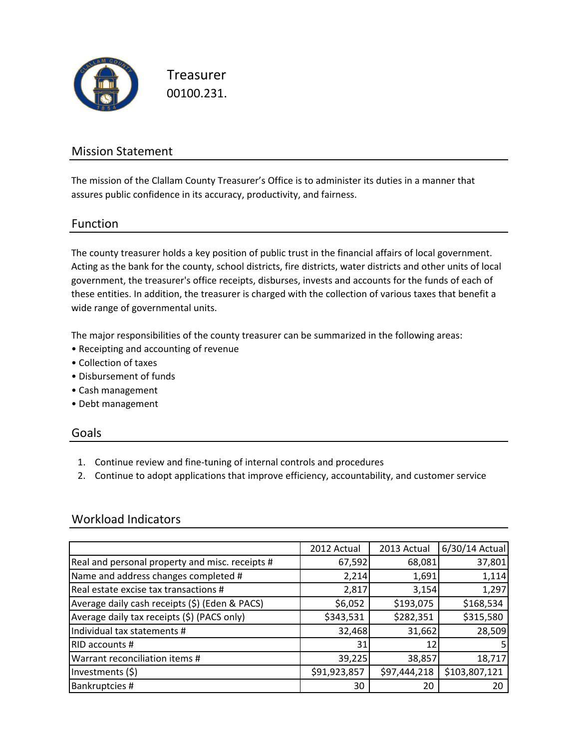

Treasurer 00100.231.

### Mission Statement

The mission of the Clallam County Treasurer's Office is to administer its duties in a manner that assures public confidence in its accuracy, productivity, and fairness.

### Function

The county treasurer holds a key position of public trust in the financial affairs of local government. Acting as the bank for the county, school districts, fire districts, water districts and other units of local government, the treasurer's office receipts, disburses, invests and accounts for the funds of each of these entities. In addition, the treasurer is charged with the collection of various taxes that benefit a wide range of governmental units.

The major responsibilities of the county treasurer can be summarized in the following areas:

- Receipting and accounting of revenue
- Collection of taxes
- Disbursement of funds
- Cash management
- Debt management

#### Goals

- 1. Continue review and fine-tuning of internal controls and procedures
- 2. Continue to adopt applications that improve efficiency, accountability, and customer service

### Workload Indicators

|                                                 | 2012 Actual  | 2013 Actual  | 6/30/14 Actual |
|-------------------------------------------------|--------------|--------------|----------------|
| Real and personal property and misc. receipts # | 67,592       | 68,081       | 37,801         |
| Name and address changes completed #            | 2,214        | 1,691        | 1,114          |
| Real estate excise tax transactions #           | 2,817        | 3,154        | 1,297          |
| Average daily cash receipts (\$) (Eden & PACS)  | \$6,052      | \$193,075    | \$168,534      |
| Average daily tax receipts (\$) (PACS only)     | \$343,531    | \$282,351    | \$315,580      |
| Individual tax statements #                     | 32,468       | 31,662       | 28,509         |
| RID accounts #                                  | 31           | 12           |                |
| Warrant reconciliation items #                  | 39,225       | 38,857       | 18,717         |
| Investments (\$)                                | \$91,923,857 | \$97,444,218 | \$103,807,121  |
| Bankruptcies #                                  | 30           | 20           | 20             |